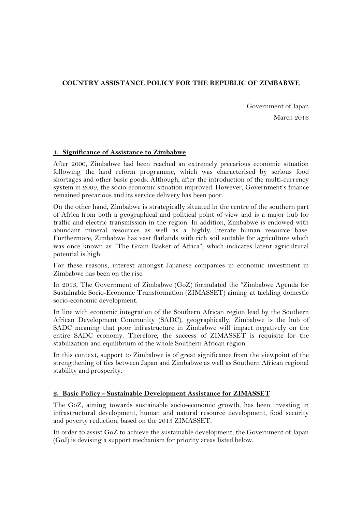# **COUNTRY ASSISTANCE POLICY FOR THE REPUBLIC OF ZIMBABWE**

Government of Japan March 2016

## **1. Significance of Assistance to Zimbabwe**

After 2000, Zimbabwe had been reached an extremely precarious economic situation following the land reform programme, which was characterised by serious food shortages and other basic goods. Although, after the introduction of the multi-currency system in 2009, the socio-economic situation improved. However, Government's finance remained precarious and its service delivery has been poor.

On the other hand, Zimbabwe is strategically situated in the centre of the southern part of Africa from both a geographical and political point of view and is a major hub for traffic and electric transmission in the region. In addition, Zimbabwe is endowed with abundant mineral resources as well as a highly literate human resource base. Furthermore, Zimbabwe has vast flatlands with rich soil suitable for agriculture which was once known as "The Grain Basket of Africa", which indicates latent agricultural potential is high.

For these reasons, interest amongst Japanese companies in economic investment in Zimbabwe has been on the rise.

In 2013, The Government of Zimbabwe (GoZ) formulated the "Zimbabwe Agenda for Sustainable Socio-Economic Transformation (ZIMASSET) aiming at tackling domestic socio-economic development.

In line with economic integration of the Southern African region lead by the Southern African Development Community (SADC), geographically, Zimbabwe is the hub of SADC meaning that poor infrastructure in Zimbabwe will impact negatively on the entire SADC economy. Therefore, the success of ZIMASSET is requisite for the stabilization and equilibrium of the whole Southern African region.

In this context, support to Zimbabwe is of great significance from the viewpoint of the strengthening of ties between Japan and Zimbabwe as well as Southern African regional stability and prosperity.

## **2. Basic Policy - Sustainable Development Assistance for ZIMASSET**

The GoZ, aiming towards sustainable socio-economic growth, has been investing in infrastructural development, human and natural resource development, food security and poverty reduction, based on the 2013 ZIMASSET.

In order to assist GoZ to achieve the sustainable development, the Government of Japan (GoJ) is devising a support mechanism for priority areas listed below.